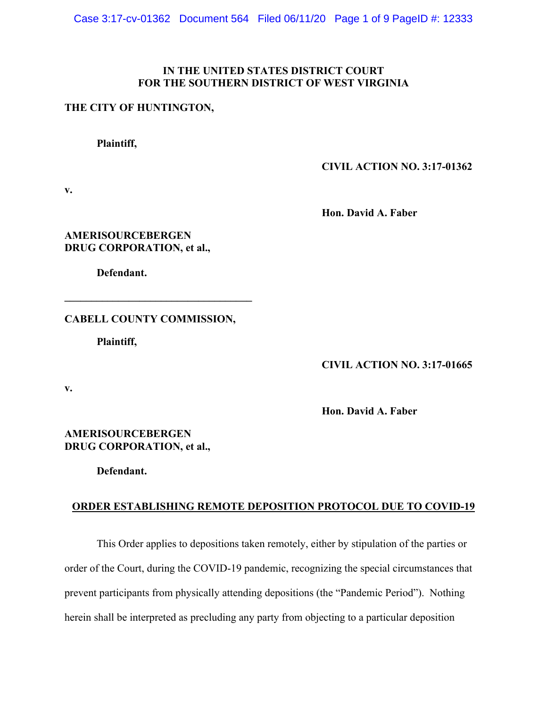#### **IN THE UNITED STATES DISTRICT COURT FOR THE SOUTHERN DISTRICT OF WEST VIRGINIA**

#### **THE CITY OF HUNTINGTON,**

**Plaintiff,**

**CIVIL ACTION NO. 3:17-01362**

**v.**

**Hon. David A. Faber**

**AMERISOURCEBERGEN DRUG CORPORATION, et al.,**

**Defendant.**

**CABELL COUNTY COMMISSION,**

**\_\_\_\_\_\_\_\_\_\_\_\_\_\_\_\_\_\_\_\_\_\_\_\_\_\_\_\_\_\_\_\_\_\_\_**

**Plaintiff,**

**CIVIL ACTION NO. 3:17-01665**

**v.**

**Hon. David A. Faber**

**AMERISOURCEBERGEN DRUG CORPORATION, et al.,**

**Defendant.**

## **ORDER ESTABLISHING REMOTE DEPOSITION PROTOCOL DUE TO COVID-19**

This Order applies to depositions taken remotely, either by stipulation of the parties or order of the Court, during the COVID-19 pandemic, recognizing the special circumstances that prevent participants from physically attending depositions (the "Pandemic Period"). Nothing herein shall be interpreted as precluding any party from objecting to a particular deposition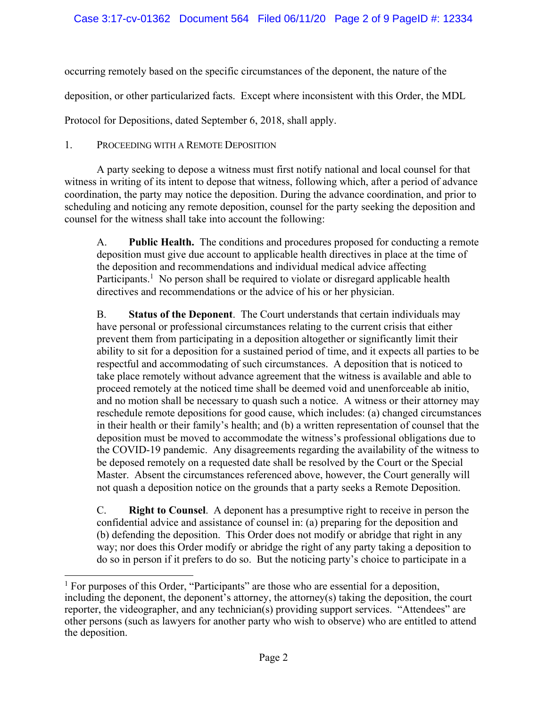occurring remotely based on the specific circumstances of the deponent, the nature of the

deposition, or other particularized facts. Except where inconsistent with this Order, the MDL

Protocol for Depositions, dated September 6, 2018, shall apply.

1. PROCEEDING WITH A REMOTE DEPOSITION

A party seeking to depose a witness must first notify national and local counsel for that witness in writing of its intent to depose that witness, following which, after a period of advance coordination, the party may notice the deposition. During the advance coordination, and prior to scheduling and noticing any remote deposition, counsel for the party seeking the deposition and counsel for the witness shall take into account the following:

A. **Public Health.** The conditions and procedures proposed for conducting a remote deposition must give due account to applicable health directives in place at the time of the deposition and recommendations and individual medical advice affecting Participants.<sup>1</sup> No person shall be required to violate or disregard applicable health directives and recommendations or the advice of his or her physician.

B. **Status of the Deponent**. The Court understands that certain individuals may have personal or professional circumstances relating to the current crisis that either prevent them from participating in a deposition altogether or significantly limit their ability to sit for a deposition for a sustained period of time, and it expects all parties to be respectful and accommodating of such circumstances. A deposition that is noticed to take place remotely without advance agreement that the witness is available and able to proceed remotely at the noticed time shall be deemed void and unenforceable ab initio, and no motion shall be necessary to quash such a notice. A witness or their attorney may reschedule remote depositions for good cause, which includes: (a) changed circumstances in their health or their family's health; and (b) a written representation of counsel that the deposition must be moved to accommodate the witness's professional obligations due to the COVID-19 pandemic. Any disagreements regarding the availability of the witness to be deposed remotely on a requested date shall be resolved by the Court or the Special Master. Absent the circumstances referenced above, however, the Court generally will not quash a deposition notice on the grounds that a party seeks a Remote Deposition.

C. **Right to Counsel**. A deponent has a presumptive right to receive in person the confidential advice and assistance of counsel in: (a) preparing for the deposition and (b) defending the deposition. This Order does not modify or abridge that right in any way; nor does this Order modify or abridge the right of any party taking a deposition to do so in person if it prefers to do so. But the noticing party's choice to participate in a

 $<sup>1</sup>$  For purposes of this Order, "Participants" are those who are essential for a deposition,</sup> including the deponent, the deponent's attorney, the attorney(s) taking the deposition, the court reporter, the videographer, and any technician(s) providing support services. "Attendees" are other persons (such as lawyers for another party who wish to observe) who are entitled to attend the deposition.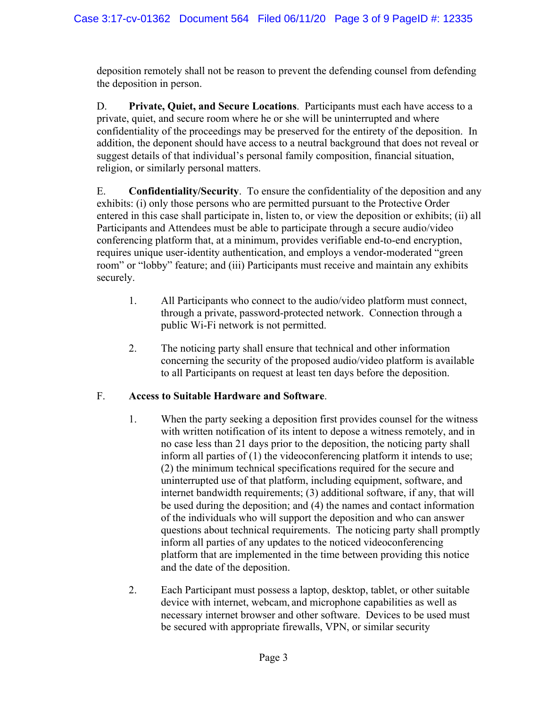deposition remotely shall not be reason to prevent the defending counsel from defending the deposition in person.

D. **Private, Quiet, and Secure Locations**. Participants must each have access to a private, quiet, and secure room where he or she will be uninterrupted and where confidentiality of the proceedings may be preserved for the entirety of the deposition. In addition, the deponent should have access to a neutral background that does not reveal or suggest details of that individual's personal family composition, financial situation, religion, or similarly personal matters.

E. **Confidentiality/Security**. To ensure the confidentiality of the deposition and any exhibits: (i) only those persons who are permitted pursuant to the Protective Order entered in this case shall participate in, listen to, or view the deposition or exhibits; (ii) all Participants and Attendees must be able to participate through a secure audio/video conferencing platform that, at a minimum, provides verifiable end-to-end encryption, requires unique user-identity authentication, and employs a vendor-moderated "green room" or "lobby" feature; and (iii) Participants must receive and maintain any exhibits securely.

- 1. All Participants who connect to the audio/video platform must connect, through a private, password-protected network. Connection through a public Wi-Fi network is not permitted.
- 2. The noticing party shall ensure that technical and other information concerning the security of the proposed audio/video platform is available to all Participants on request at least ten days before the deposition.

# F. **Access to Suitable Hardware and Software**.

- 1. When the party seeking a deposition first provides counsel for the witness with written notification of its intent to depose a witness remotely, and in no case less than 21 days prior to the deposition, the noticing party shall inform all parties of (1) the videoconferencing platform it intends to use; (2) the minimum technical specifications required for the secure and uninterrupted use of that platform, including equipment, software, and internet bandwidth requirements; (3) additional software, if any, that will be used during the deposition; and (4) the names and contact information of the individuals who will support the deposition and who can answer questions about technical requirements. The noticing party shall promptly inform all parties of any updates to the noticed videoconferencing platform that are implemented in the time between providing this notice and the date of the deposition.
- 2. Each Participant must possess a laptop, desktop, tablet, or other suitable device with internet, webcam, and microphone capabilities as well as necessary internet browser and other software. Devices to be used must be secured with appropriate firewalls, VPN, or similar security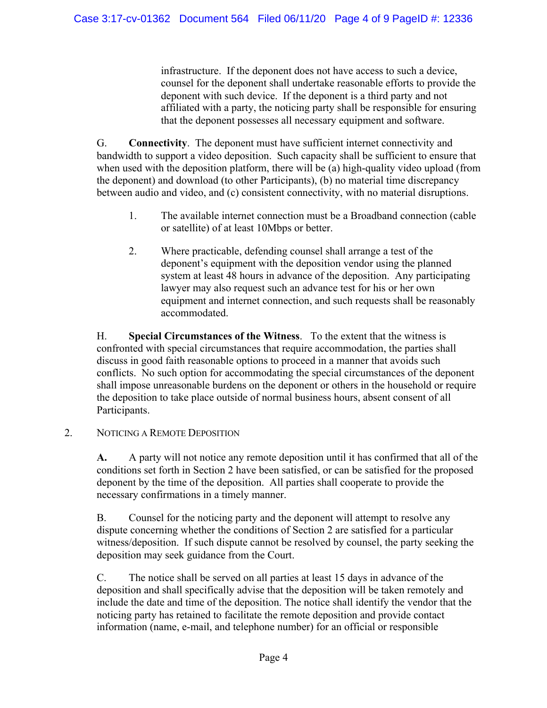infrastructure. If the deponent does not have access to such a device, counsel for the deponent shall undertake reasonable efforts to provide the deponent with such device. If the deponent is a third party and not affiliated with a party, the noticing party shall be responsible for ensuring that the deponent possesses all necessary equipment and software.

G. **Connectivity**. The deponent must have sufficient internet connectivity and bandwidth to support a video deposition. Such capacity shall be sufficient to ensure that when used with the deposition platform, there will be (a) high-quality video upload (from the deponent) and download (to other Participants), (b) no material time discrepancy between audio and video, and (c) consistent connectivity, with no material disruptions.

- 1. The available internet connection must be a Broadband connection (cable or satellite) of at least 10Mbps or better.
- 2. Where practicable, defending counsel shall arrange a test of the deponent's equipment with the deposition vendor using the planned system at least 48 hours in advance of the deposition. Any participating lawyer may also request such an advance test for his or her own equipment and internet connection, and such requests shall be reasonably accommodated.

H. **Special Circumstances of the Witness**. To the extent that the witness is confronted with special circumstances that require accommodation, the parties shall discuss in good faith reasonable options to proceed in a manner that avoids such conflicts. No such option for accommodating the special circumstances of the deponent shall impose unreasonable burdens on the deponent or others in the household or require the deposition to take place outside of normal business hours, absent consent of all Participants.

2. NOTICING A REMOTE DEPOSITION

**A.** A party will not notice any remote deposition until it has confirmed that all of the conditions set forth in Section 2 have been satisfied, or can be satisfied for the proposed deponent by the time of the deposition. All parties shall cooperate to provide the necessary confirmations in a timely manner.

B. Counsel for the noticing party and the deponent will attempt to resolve any dispute concerning whether the conditions of Section 2 are satisfied for a particular witness/deposition. If such dispute cannot be resolved by counsel, the party seeking the deposition may seek guidance from the Court.

C. The notice shall be served on all parties at least 15 days in advance of the deposition and shall specifically advise that the deposition will be taken remotely and include the date and time of the deposition. The notice shall identify the vendor that the noticing party has retained to facilitate the remote deposition and provide contact information (name, e-mail, and telephone number) for an official or responsible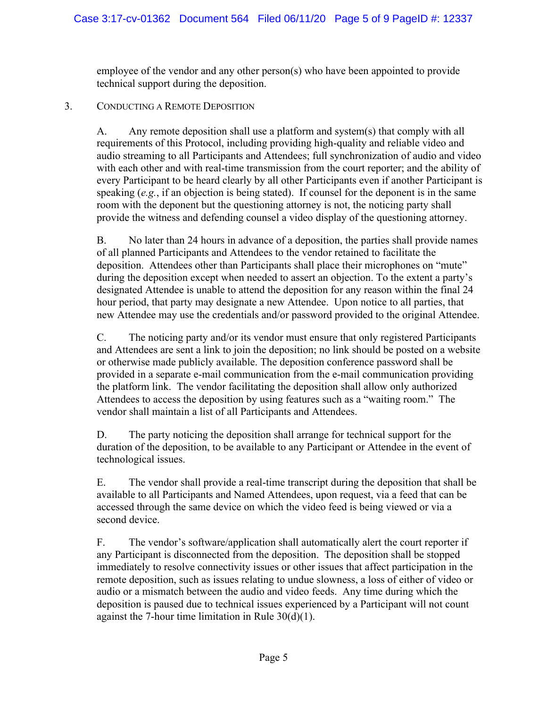employee of the vendor and any other person(s) who have been appointed to provide technical support during the deposition.

## 3. CONDUCTING A REMOTE DEPOSITION

A. Any remote deposition shall use a platform and system(s) that comply with all requirements of this Protocol, including providing high-quality and reliable video and audio streaming to all Participants and Attendees; full synchronization of audio and video with each other and with real-time transmission from the court reporter; and the ability of every Participant to be heard clearly by all other Participants even if another Participant is speaking (*e.g.*, if an objection is being stated). If counsel for the deponent is in the same room with the deponent but the questioning attorney is not, the noticing party shall provide the witness and defending counsel a video display of the questioning attorney.

B. No later than 24 hours in advance of a deposition, the parties shall provide names of all planned Participants and Attendees to the vendor retained to facilitate the deposition. Attendees other than Participants shall place their microphones on "mute" during the deposition except when needed to assert an objection. To the extent a party's designated Attendee is unable to attend the deposition for any reason within the final 24 hour period, that party may designate a new Attendee. Upon notice to all parties, that new Attendee may use the credentials and/or password provided to the original Attendee.

C. The noticing party and/or its vendor must ensure that only registered Participants and Attendees are sent a link to join the deposition; no link should be posted on a website or otherwise made publicly available. The deposition conference password shall be provided in a separate e-mail communication from the e-mail communication providing the platform link. The vendor facilitating the deposition shall allow only authorized Attendees to access the deposition by using features such as a "waiting room." The vendor shall maintain a list of all Participants and Attendees.

D. The party noticing the deposition shall arrange for technical support for the duration of the deposition, to be available to any Participant or Attendee in the event of technological issues.

E. The vendor shall provide a real-time transcript during the deposition that shall be available to all Participants and Named Attendees, upon request, via a feed that can be accessed through the same device on which the video feed is being viewed or via a second device.

F. The vendor's software/application shall automatically alert the court reporter if any Participant is disconnected from the deposition. The deposition shall be stopped immediately to resolve connectivity issues or other issues that affect participation in the remote deposition, such as issues relating to undue slowness, a loss of either of video or audio or a mismatch between the audio and video feeds. Any time during which the deposition is paused due to technical issues experienced by a Participant will not count against the 7-hour time limitation in Rule  $30(d)(1)$ .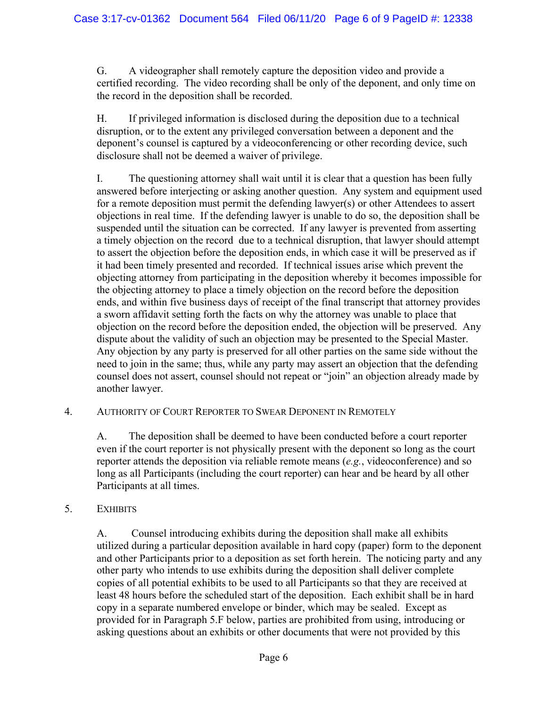G. A videographer shall remotely capture the deposition video and provide a certified recording. The video recording shall be only of the deponent, and only time on the record in the deposition shall be recorded.

H. If privileged information is disclosed during the deposition due to a technical disruption, or to the extent any privileged conversation between a deponent and the deponent's counsel is captured by a videoconferencing or other recording device, such disclosure shall not be deemed a waiver of privilege.

I. The questioning attorney shall wait until it is clear that a question has been fully answered before interjecting or asking another question. Any system and equipment used for a remote deposition must permit the defending lawyer(s) or other Attendees to assert objections in real time. If the defending lawyer is unable to do so, the deposition shall be suspended until the situation can be corrected. If any lawyer is prevented from asserting a timely objection on the record due to a technical disruption, that lawyer should attempt to assert the objection before the deposition ends, in which case it will be preserved as if it had been timely presented and recorded. If technical issues arise which prevent the objecting attorney from participating in the deposition whereby it becomes impossible for the objecting attorney to place a timely objection on the record before the deposition ends, and within five business days of receipt of the final transcript that attorney provides a sworn affidavit setting forth the facts on why the attorney was unable to place that objection on the record before the deposition ended, the objection will be preserved. Any dispute about the validity of such an objection may be presented to the Special Master. Any objection by any party is preserved for all other parties on the same side without the need to join in the same; thus, while any party may assert an objection that the defending counsel does not assert, counsel should not repeat or "join" an objection already made by another lawyer.

### 4. AUTHORITY OF COURT REPORTER TO SWEAR DEPONENT IN REMOTELY

A. The deposition shall be deemed to have been conducted before a court reporter even if the court reporter is not physically present with the deponent so long as the court reporter attends the deposition via reliable remote means (*e.g.*, videoconference) and so long as all Participants (including the court reporter) can hear and be heard by all other Participants at all times.

### 5. EXHIBITS

A. Counsel introducing exhibits during the deposition shall make all exhibits utilized during a particular deposition available in hard copy (paper) form to the deponent and other Participants prior to a deposition as set forth herein. The noticing party and any other party who intends to use exhibits during the deposition shall deliver complete copies of all potential exhibits to be used to all Participants so that they are received at least 48 hours before the scheduled start of the deposition. Each exhibit shall be in hard copy in a separate numbered envelope or binder, which may be sealed. Except as provided for in Paragraph 5.F below, parties are prohibited from using, introducing or asking questions about an exhibits or other documents that were not provided by this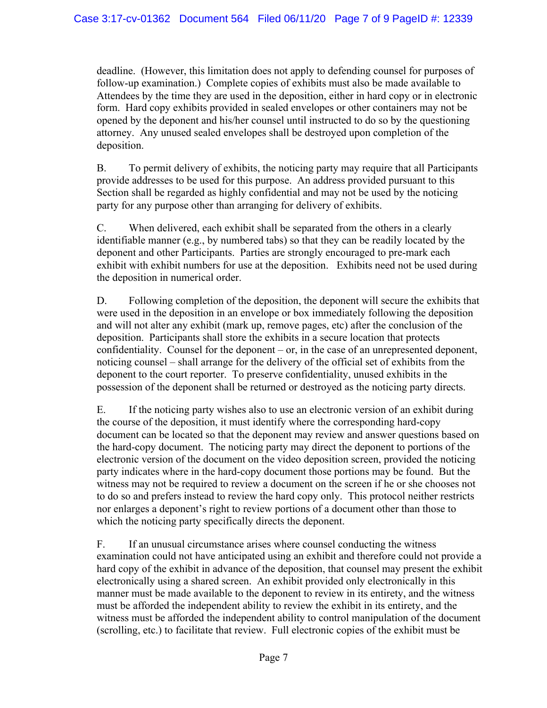deadline. (However, this limitation does not apply to defending counsel for purposes of follow-up examination.) Complete copies of exhibits must also be made available to Attendees by the time they are used in the deposition, either in hard copy or in electronic form. Hard copy exhibits provided in sealed envelopes or other containers may not be opened by the deponent and his/her counsel until instructed to do so by the questioning attorney. Any unused sealed envelopes shall be destroyed upon completion of the deposition.

B. To permit delivery of exhibits, the noticing party may require that all Participants provide addresses to be used for this purpose. An address provided pursuant to this Section shall be regarded as highly confidential and may not be used by the noticing party for any purpose other than arranging for delivery of exhibits.

C. When delivered, each exhibit shall be separated from the others in a clearly identifiable manner (e.g., by numbered tabs) so that they can be readily located by the deponent and other Participants. Parties are strongly encouraged to pre-mark each exhibit with exhibit numbers for use at the deposition. Exhibits need not be used during the deposition in numerical order.

D. Following completion of the deposition, the deponent will secure the exhibits that were used in the deposition in an envelope or box immediately following the deposition and will not alter any exhibit (mark up, remove pages, etc) after the conclusion of the deposition. Participants shall store the exhibits in a secure location that protects confidentiality. Counsel for the deponent – or, in the case of an unrepresented deponent, noticing counsel – shall arrange for the delivery of the official set of exhibits from the deponent to the court reporter. To preserve confidentiality, unused exhibits in the possession of the deponent shall be returned or destroyed as the noticing party directs.

E. If the noticing party wishes also to use an electronic version of an exhibit during the course of the deposition, it must identify where the corresponding hard-copy document can be located so that the deponent may review and answer questions based on the hard-copy document. The noticing party may direct the deponent to portions of the electronic version of the document on the video deposition screen, provided the noticing party indicates where in the hard-copy document those portions may be found. But the witness may not be required to review a document on the screen if he or she chooses not to do so and prefers instead to review the hard copy only. This protocol neither restricts nor enlarges a deponent's right to review portions of a document other than those to which the noticing party specifically directs the deponent.

F. If an unusual circumstance arises where counsel conducting the witness examination could not have anticipated using an exhibit and therefore could not provide a hard copy of the exhibit in advance of the deposition, that counsel may present the exhibit electronically using a shared screen. An exhibit provided only electronically in this manner must be made available to the deponent to review in its entirety, and the witness must be afforded the independent ability to review the exhibit in its entirety, and the witness must be afforded the independent ability to control manipulation of the document (scrolling, etc.) to facilitate that review. Full electronic copies of the exhibit must be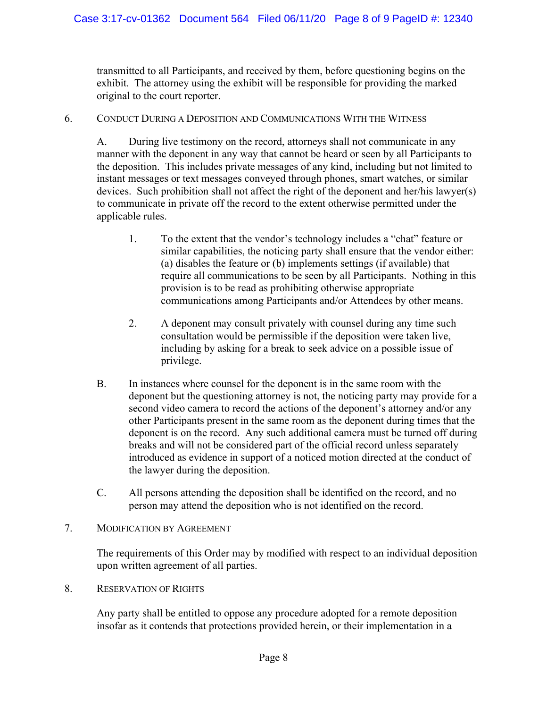transmitted to all Participants, and received by them, before questioning begins on the exhibit. The attorney using the exhibit will be responsible for providing the marked original to the court reporter.

#### 6. CONDUCT DURING A DEPOSITION AND COMMUNICATIONS WITH THE WITNESS

A. During live testimony on the record, attorneys shall not communicate in any manner with the deponent in any way that cannot be heard or seen by all Participants to the deposition. This includes private messages of any kind, including but not limited to instant messages or text messages conveyed through phones, smart watches, or similar devices. Such prohibition shall not affect the right of the deponent and her/his lawyer(s) to communicate in private off the record to the extent otherwise permitted under the applicable rules.

- 1. To the extent that the vendor's technology includes a "chat" feature or similar capabilities, the noticing party shall ensure that the vendor either: (a) disables the feature or (b) implements settings (if available) that require all communications to be seen by all Participants. Nothing in this provision is to be read as prohibiting otherwise appropriate communications among Participants and/or Attendees by other means.
- 2. A deponent may consult privately with counsel during any time such consultation would be permissible if the deposition were taken live, including by asking for a break to seek advice on a possible issue of privilege.
- B. In instances where counsel for the deponent is in the same room with the deponent but the questioning attorney is not, the noticing party may provide for a second video camera to record the actions of the deponent's attorney and/or any other Participants present in the same room as the deponent during times that the deponent is on the record. Any such additional camera must be turned off during breaks and will not be considered part of the official record unless separately introduced as evidence in support of a noticed motion directed at the conduct of the lawyer during the deposition.
- C. All persons attending the deposition shall be identified on the record, and no person may attend the deposition who is not identified on the record.

### 7. MODIFICATION BY AGREEMENT

The requirements of this Order may by modified with respect to an individual deposition upon written agreement of all parties.

8. RESERVATION OF RIGHTS

Any party shall be entitled to oppose any procedure adopted for a remote deposition insofar as it contends that protections provided herein, or their implementation in a